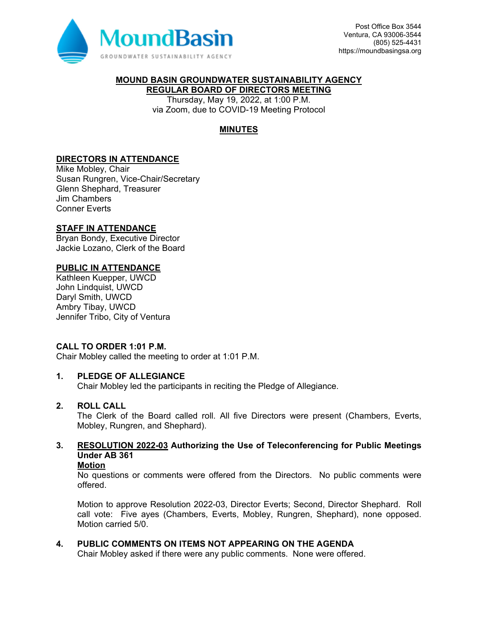

# **MOUND BASIN GROUNDWATER SUSTAINABILITY AGENCY**

**REGULAR BOARD OF DIRECTORS MEETING**  Thursday, May 19, 2022, at 1:00 P.M.

via Zoom, due to COVID-19 Meeting Protocol

# **MINUTES**

## **DIRECTORS IN ATTENDANCE**

Mike Mobley, Chair Susan Rungren, Vice-Chair/Secretary Glenn Shephard, Treasurer Jim Chambers Conner Everts

#### **STAFF IN ATTENDANCE**

Bryan Bondy, Executive Director Jackie Lozano, Clerk of the Board

#### **PUBLIC IN ATTENDANCE**

Kathleen Kuepper, UWCD John Lindquist, UWCD Daryl Smith, UWCD Ambry Tibay, UWCD Jennifer Tribo, City of Ventura

#### **CALL TO ORDER 1:01 P.M.**

Chair Mobley called the meeting to order at 1:01 P.M.

#### **1. PLEDGE OF ALLEGIANCE**

Chair Mobley led the participants in reciting the Pledge of Allegiance.

# **2. ROLL CALL**

The Clerk of the Board called roll. All five Directors were present (Chambers, Everts, Mobley, Rungren, and Shephard).

# **3. RESOLUTION 2022-03 Authorizing the Use of Teleconferencing for Public Meetings Under AB 361**

#### **Motion**

No questions or comments were offered from the Directors. No public comments were offered.

Motion to approve Resolution 2022-03, Director Everts; Second, Director Shephard. Roll call vote: Five ayes (Chambers, Everts, Mobley, Rungren, Shephard), none opposed. Motion carried 5/0.

#### **4. PUBLIC COMMENTS ON ITEMS NOT APPEARING ON THE AGENDA**

Chair Mobley asked if there were any public comments. None were offered.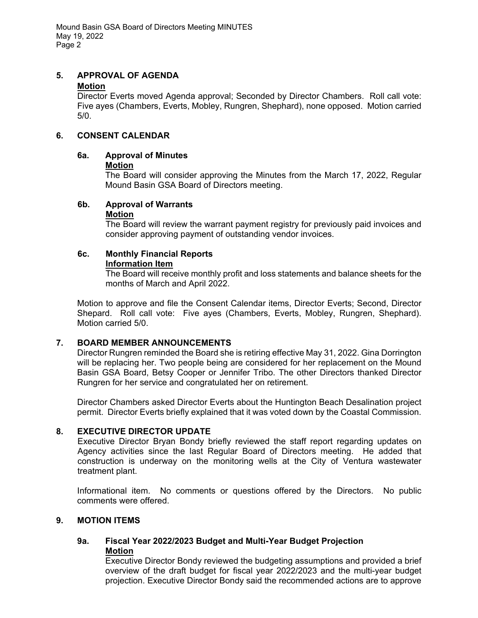Mound Basin GSA Board of Directors Meeting MINUTES May 19, 2022 Page 2

# **5. APPROVAL OF AGENDA**

#### **Motion**

Director Everts moved Agenda approval; Seconded by Director Chambers. Roll call vote: Five ayes (Chambers, Everts, Mobley, Rungren, Shephard), none opposed. Motion carried 5/0.

# **6. CONSENT CALENDAR**

#### **6a. Approval of Minutes**

#### **Motion**

The Board will consider approving the Minutes from the March 17, 2022, Regular Mound Basin GSA Board of Directors meeting.

#### **6b. Approval of Warrants Motion**

The Board will review the warrant payment registry for previously paid invoices and consider approving payment of outstanding vendor invoices.

#### **6c. Monthly Financial Reports Information Item**

The Board will receive monthly profit and loss statements and balance sheets for the months of March and April 2022.

Motion to approve and file the Consent Calendar items, Director Everts; Second, Director Shepard. Roll call vote: Five ayes (Chambers, Everts, Mobley, Rungren, Shephard). Motion carried 5/0.

# **7. BOARD MEMBER ANNOUNCEMENTS**

Director Rungren reminded the Board she is retiring effective May 31, 2022. Gina Dorrington will be replacing her. Two people being are considered for her replacement on the Mound Basin GSA Board, Betsy Cooper or Jennifer Tribo. The other Directors thanked Director Rungren for her service and congratulated her on retirement.

Director Chambers asked Director Everts about the Huntington Beach Desalination project permit. Director Everts briefly explained that it was voted down by the Coastal Commission.

# **8. EXECUTIVE DIRECTOR UPDATE**

Executive Director Bryan Bondy briefly reviewed the staff report regarding updates on Agency activities since the last Regular Board of Directors meeting. He added that construction is underway on the monitoring wells at the City of Ventura wastewater treatment plant.

Informational item. No comments or questions offered by the Directors. No public comments were offered.

#### **9. MOTION ITEMS**

# **9a. Fiscal Year 2022/2023 Budget and Multi-Year Budget Projection Motion**

Executive Director Bondy reviewed the budgeting assumptions and provided a brief overview of the draft budget for fiscal year 2022/2023 and the multi-year budget projection. Executive Director Bondy said the recommended actions are to approve